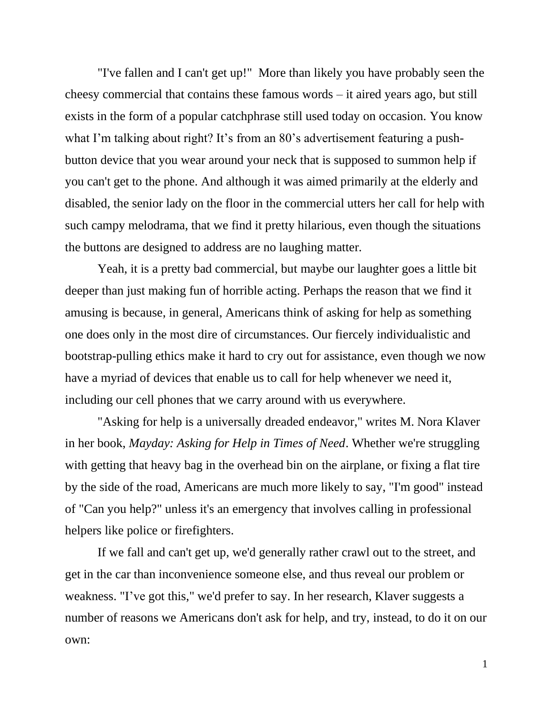"I've fallen and I can't get up!" More than likely you have probably seen the cheesy commercial that contains these famous words – it aired years ago, but still exists in the form of a popular catchphrase still used today on occasion. You know what I'm talking about right? It's from an 80's advertisement featuring a pushbutton device that you wear around your neck that is supposed to summon help if you can't get to the phone. And although it was aimed primarily at the elderly and disabled, the senior lady on the floor in the commercial utters her call for help with such campy melodrama, that we find it pretty hilarious, even though the situations the buttons are designed to address are no laughing matter*.*

Yeah, it is a pretty bad commercial, but maybe our laughter goes a little bit deeper than just making fun of horrible acting. Perhaps the reason that we find it amusing is because, in general, Americans think of asking for help as something one does only in the most dire of circumstances. Our fiercely individualistic and bootstrap-pulling ethics make it hard to cry out for assistance, even though we now have a myriad of devices that enable us to call for help whenever we need it, including our cell phones that we carry around with us everywhere.

"Asking for help is a universally dreaded endeavor," writes M. Nora Klaver in her book, *Mayday: Asking for Help in Times of Need*. Whether we're struggling with getting that heavy bag in the overhead bin on the airplane, or fixing a flat tire by the side of the road, Americans are much more likely to say, "I'm good" instead of "Can you help?" unless it's an emergency that involves calling in professional helpers like police or firefighters.

If we fall and can't get up, we'd generally rather crawl out to the street, and get in the car than inconvenience someone else, and thus reveal our problem or weakness. "I've got this," we'd prefer to say. In her research, Klaver suggests a number of reasons we Americans don't ask for help, and try, instead, to do it on our own: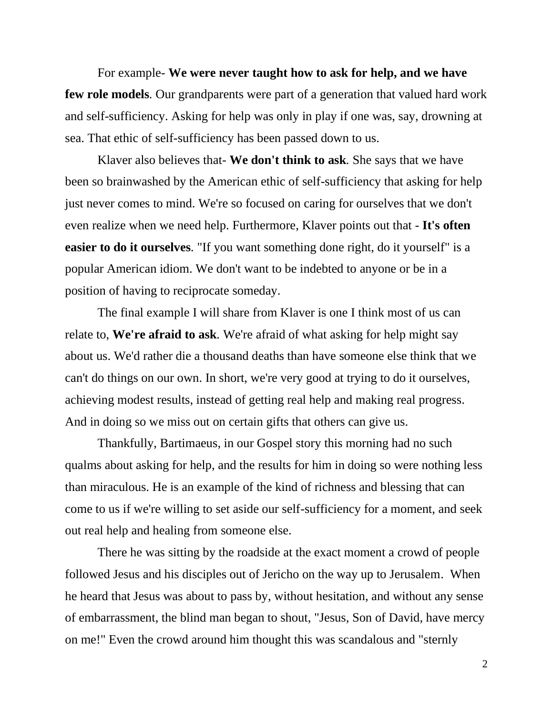For example*-* **We were never taught how to ask for help, and we have few role models***.* Our grandparents were part of a generation that valued hard work and self-sufficiency. Asking for help was only in play if one was, say, drowning at sea. That ethic of self-sufficiency has been passed down to us.

Klaver also believes that*-* **We don't think to ask***.* She says that we have been so brainwashed by the American ethic of self-sufficiency that asking for help just never comes to mind. We're so focused on caring for ourselves that we don't even realize when we need help. Furthermore, Klaver points out that *-* **It's often easier to do it ourselves***.* "If you want something done right, do it yourself" is a popular American idiom. We don't want to be indebted to anyone or be in a position of having to reciprocate someday.

The final example I will share from Klaver is one I think most of us can relate to, **We're afraid to ask***.* We're afraid of what asking for help might say about us. We'd rather die a thousand deaths than have someone else think that we can't do things on our own. In short, we're very good at trying to do it ourselves, achieving modest results, instead of getting real help and making real progress. And in doing so we miss out on certain gifts that others can give us.

Thankfully, Bartimaeus, in our Gospel story this morning had no such qualms about asking for help, and the results for him in doing so were nothing less than miraculous. He is an example of the kind of richness and blessing that can come to us if we're willing to set aside our self-sufficiency for a moment, and seek out real help and healing from someone else.

There he was sitting by the roadside at the exact moment a crowd of people followed Jesus and his disciples out of Jericho on the way up to Jerusalem. When he heard that Jesus was about to pass by, without hesitation, and without any sense of embarrassment, the blind man began to shout, "Jesus, Son of David, have mercy on me!" Even the crowd around him thought this was scandalous and "sternly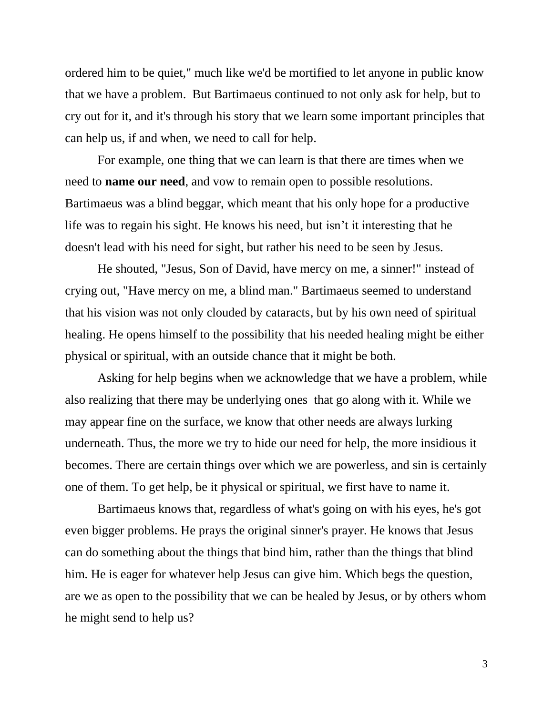ordered him to be quiet," much like we'd be mortified to let anyone in public know that we have a problem. But Bartimaeus continued to not only ask for help, but to cry out for it, and it's through his story that we learn some important principles that can help us, if and when, we need to call for help.

For example, one thing that we can learn is that there are times when we need to **name our need**, and vow to remain open to possible resolutions. Bartimaeus was a blind beggar, which meant that his only hope for a productive life was to regain his sight. He knows his need, but isn't it interesting that he doesn't lead with his need for sight, but rather his need to be seen by Jesus.

He shouted, "Jesus, Son of David, have mercy on me, a sinner!" instead of crying out, "Have mercy on me, a blind man." Bartimaeus seemed to understand that his vision was not only clouded by cataracts, but by his own need of spiritual healing. He opens himself to the possibility that his needed healing might be either physical or spiritual, with an outside chance that it might be both.

Asking for help begins when we acknowledge that we have a problem, while also realizing that there may be underlying ones that go along with it. While we may appear fine on the surface, we know that other needs are always lurking underneath. Thus, the more we try to hide our need for help, the more insidious it becomes. There are certain things over which we are powerless, and sin is certainly one of them. To get help, be it physical or spiritual, we first have to name it.

Bartimaeus knows that, regardless of what's going on with his eyes, he's got even bigger problems. He prays the original sinner's prayer. He knows that Jesus can do something about the things that bind him, rather than the things that blind him. He is eager for whatever help Jesus can give him. Which begs the question, are we as open to the possibility that we can be healed by Jesus, or by others whom he might send to help us?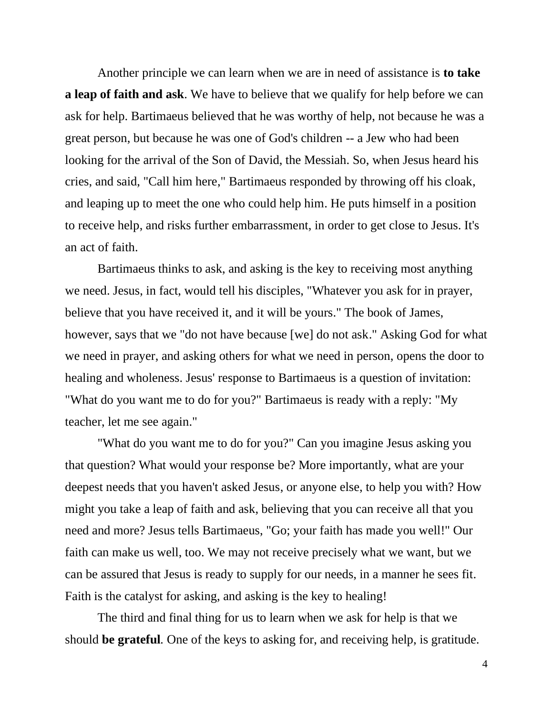Another principle we can learn when we are in need of assistance is **to take a leap of faith and ask**. We have to believe that we qualify for help before we can ask for help. Bartimaeus believed that he was worthy of help, not because he was a great person, but because he was one of God's children -- a Jew who had been looking for the arrival of the Son of David, the Messiah. So, when Jesus heard his cries, and said, "Call him here," Bartimaeus responded by throwing off his cloak, and leaping up to meet the one who could help him. He puts himself in a position to receive help, and risks further embarrassment, in order to get close to Jesus. It's an act of faith.

Bartimaeus thinks to ask, and asking is the key to receiving most anything we need. Jesus, in fact, would tell his disciples, "Whatever you ask for in prayer, believe that you have received it, and it will be yours." The book of James, however, says that we "do not have because [we] do not ask." Asking God for what we need in prayer, and asking others for what we need in person, opens the door to healing and wholeness. Jesus' response to Bartimaeus is a question of invitation: "What do you want me to do for you?" Bartimaeus is ready with a reply: "My teacher, let me see again."

"What do you want me to do for you?" Can you imagine Jesus asking you that question? What would your response be? More importantly, what are your deepest needs that you haven't asked Jesus, or anyone else, to help you with? How might you take a leap of faith and ask, believing that you can receive all that you need and more? Jesus tells Bartimaeus, "Go; your faith has made you well!" Our faith can make us well, too. We may not receive precisely what we want, but we can be assured that Jesus is ready to supply for our needs, in a manner he sees fit. Faith is the catalyst for asking, and asking is the key to healing!

The third and final thing for us to learn when we ask for help is that we should **be grateful***.* One of the keys to asking for, and receiving help, is gratitude.